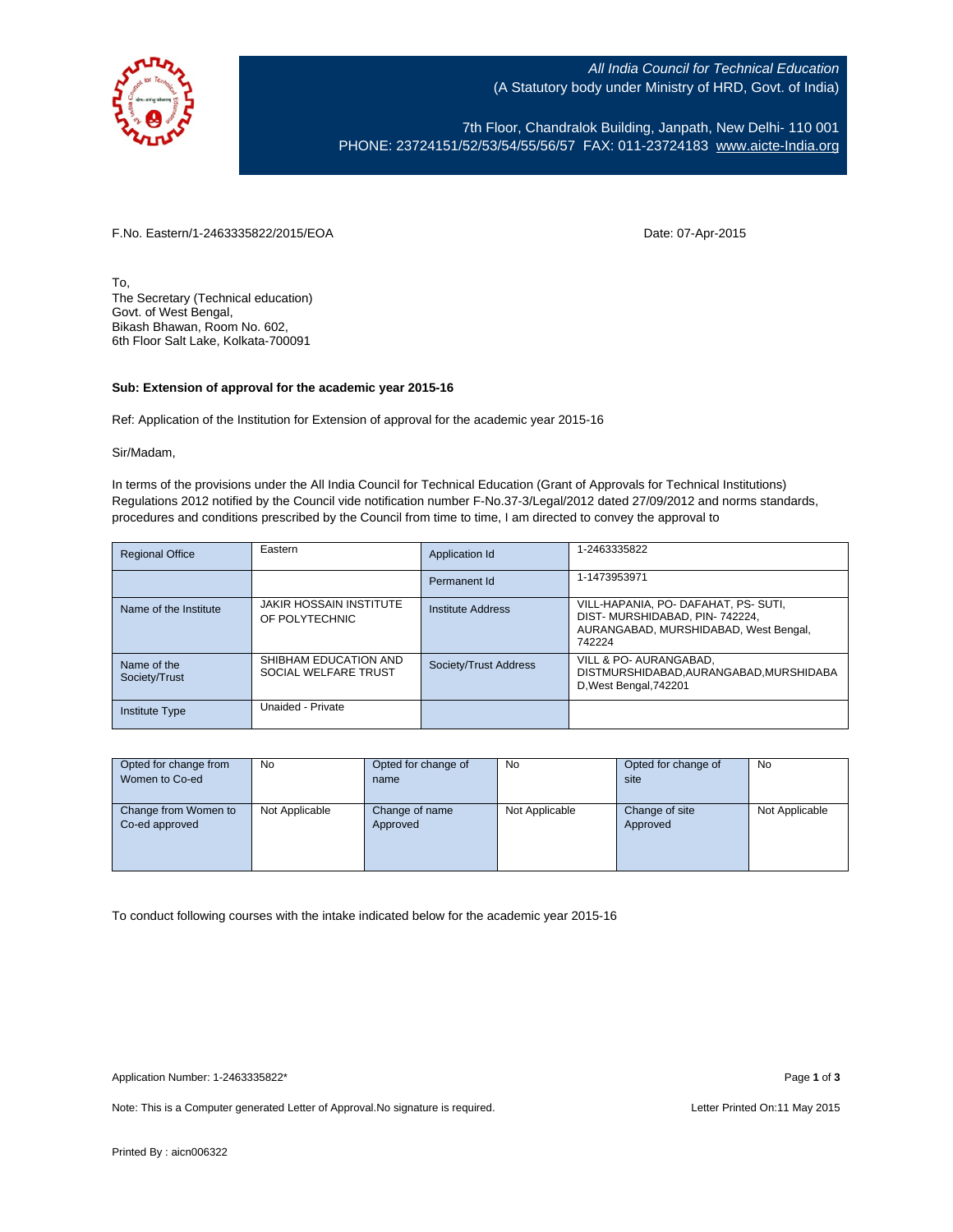

All India Council for Technical Education (A Statutory body under Ministry of HRD, Govt. of India)

7th Floor, Chandralok Building, Janpath, New Delhi- 110 001 PHONE: 23724151/52/53/54/55/56/57 FAX: 011-23724183 [www.aicte-India.org](http://www.aicte-india.org/)

F.No. Eastern/1-2463335822/2015/EOA Date: 07-Apr-2015

To, The Secretary (Technical education) Govt. of West Bengal, Bikash Bhawan, Room No. 602, 6th Floor Salt Lake, Kolkata-700091

## **Sub: Extension of approval for the academic year 2015-16**

Ref: Application of the Institution for Extension of approval for the academic year 2015-16

Sir/Madam,

In terms of the provisions under the All India Council for Technical Education (Grant of Approvals for Technical Institutions) Regulations 2012 notified by the Council vide notification number F-No.37-3/Legal/2012 dated 27/09/2012 and norms standards, procedures and conditions prescribed by the Council from time to time, I am directed to convey the approval to

| <b>Regional Office</b>       | Eastern                                          | Application Id        | 1-2463335822                                                                                                             |
|------------------------------|--------------------------------------------------|-----------------------|--------------------------------------------------------------------------------------------------------------------------|
|                              |                                                  | Permanent Id          | 1-1473953971                                                                                                             |
| Name of the Institute        | <b>JAKIR HOSSAIN INSTITUTE</b><br>OF POLYTECHNIC | Institute Address     | VILL-HAPANIA, PO- DAFAHAT, PS- SUTI,<br>DIST-MURSHIDABAD, PIN-742224,<br>AURANGABAD, MURSHIDABAD, West Bengal,<br>742224 |
| Name of the<br>Society/Trust | SHIBHAM EDUCATION AND<br>SOCIAL WELFARE TRUST    | Society/Trust Address | VILL & PO- AURANGABAD.<br>DISTMURSHIDABAD, AURANGABAD, MURSHIDABA<br>D, West Bengal, 742201                              |
| Institute Type               | Unaided - Private                                |                       |                                                                                                                          |

| Opted for change from | No             | Opted for change of | <b>No</b>      | Opted for change of | No             |
|-----------------------|----------------|---------------------|----------------|---------------------|----------------|
| Women to Co-ed        |                | name                |                | site                |                |
|                       |                |                     |                |                     |                |
| Change from Women to  | Not Applicable | Change of name      | Not Applicable | Change of site      | Not Applicable |
| Co-ed approved        |                | Approved            |                | Approved            |                |
|                       |                |                     |                |                     |                |
|                       |                |                     |                |                     |                |
|                       |                |                     |                |                     |                |

To conduct following courses with the intake indicated below for the academic year 2015-16

Note: This is a Computer generated Letter of Approval. No signature is required. Letter Printed On:11 May 2015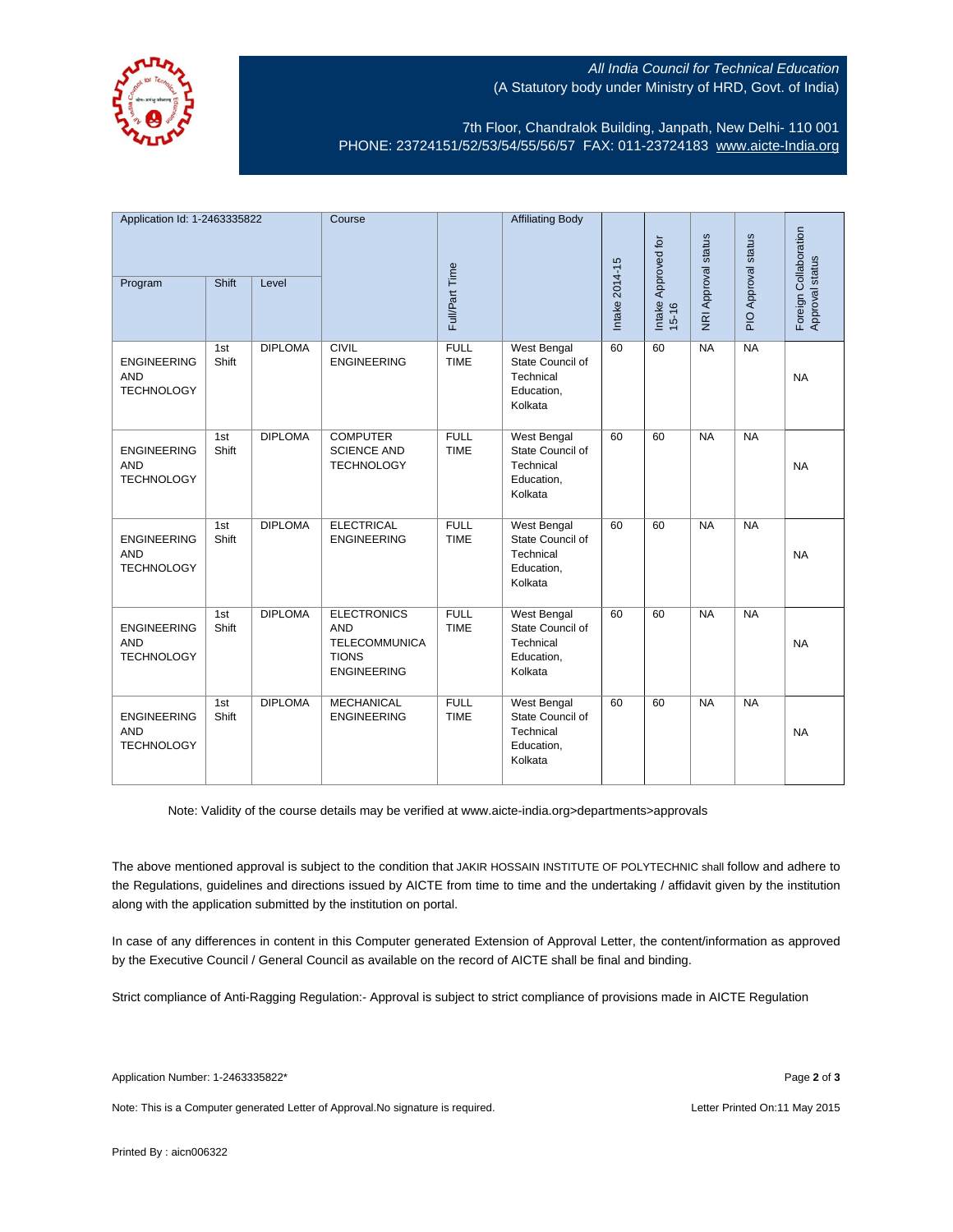

## All India Council for Technical Education (A Statutory body under Ministry of HRD, Govt. of India)

7th Floor, Chandralok Building, Janpath, New Delhi- 110 001 PHONE: 23724151/52/53/54/55/56/57 FAX: 011-23724183 [www.aicte-India.org](http://www.aicte-india.org/)

| Application Id: 1-2463335822                          |              | Course         |                                                                                                | <b>Affiliating Body</b>    |                                                                              |                              |                     |                     |                                          |           |
|-------------------------------------------------------|--------------|----------------|------------------------------------------------------------------------------------------------|----------------------------|------------------------------------------------------------------------------|------------------------------|---------------------|---------------------|------------------------------------------|-----------|
| Shift<br>Program<br>Level                             |              |                | Full/Part Time                                                                                 |                            | Intake 2014-15                                                               | Intake Approved for<br>15-16 | NRI Approval status | PIO Approval status | Foreign Collaboration<br>Approval status |           |
| <b>ENGINEERING</b><br><b>AND</b><br><b>TECHNOLOGY</b> | 1st<br>Shift | <b>DIPLOMA</b> | <b>CIVIL</b><br><b>ENGINEERING</b>                                                             | <b>FULL</b><br><b>TIME</b> | West Bengal<br>State Council of<br>Technical<br>Education,<br>Kolkata        | 60                           | 60                  | NA                  | NA                                       | <b>NA</b> |
| <b>ENGINEERING</b><br><b>AND</b><br><b>TECHNOLOGY</b> | 1st<br>Shift | <b>DIPLOMA</b> | <b>COMPUTER</b><br><b>SCIENCE AND</b><br><b>TECHNOLOGY</b>                                     | <b>FULL</b><br><b>TIME</b> | <b>West Bengal</b><br>State Council of<br>Technical<br>Education,<br>Kolkata | 60                           | 60                  | NA                  | NA                                       | <b>NA</b> |
| <b>ENGINEERING</b><br><b>AND</b><br><b>TECHNOLOGY</b> | 1st<br>Shift | <b>DIPLOMA</b> | <b>ELECTRICAL</b><br><b>ENGINEERING</b>                                                        | <b>FULL</b><br><b>TIME</b> | West Bengal<br>State Council of<br>Technical<br>Education,<br>Kolkata        | 60                           | 60                  | NA                  | NA                                       | <b>NA</b> |
| <b>ENGINEERING</b><br><b>AND</b><br><b>TECHNOLOGY</b> | 1st<br>Shift | <b>DIPLOMA</b> | <b>ELECTRONICS</b><br><b>AND</b><br><b>TELECOMMUNICA</b><br><b>TIONS</b><br><b>ENGINEERING</b> | <b>FULL</b><br><b>TIME</b> | <b>West Bengal</b><br>State Council of<br>Technical<br>Education,<br>Kolkata | 60                           | 60                  | NA                  | NA                                       | <b>NA</b> |
| <b>ENGINEERING</b><br><b>AND</b><br><b>TECHNOLOGY</b> | 1st<br>Shift | <b>DIPLOMA</b> | <b>MECHANICAL</b><br><b>ENGINEERING</b>                                                        | <b>FULL</b><br><b>TIME</b> | <b>West Bengal</b><br>State Council of<br>Technical<br>Education,<br>Kolkata | 60                           | 60                  | NA                  | NA                                       | <b>NA</b> |

Note: Validity of the course details may be verified at www.aicte-india.org>departments>approvals

The above mentioned approval is subject to the condition that JAKIR HOSSAIN INSTITUTE OF POLYTECHNIC shall follow and adhere to the Regulations, guidelines and directions issued by AICTE from time to time and the undertaking / affidavit given by the institution along with the application submitted by the institution on portal.

In case of any differences in content in this Computer generated Extension of Approval Letter, the content/information as approved by the Executive Council / General Council as available on the record of AICTE shall be final and binding.

Strict compliance of Anti-Ragging Regulation:- Approval is subject to strict compliance of provisions made in AICTE Regulation

Note: This is a Computer generated Letter of Approval. No signature is required. Letter Printed On:11 May 2015